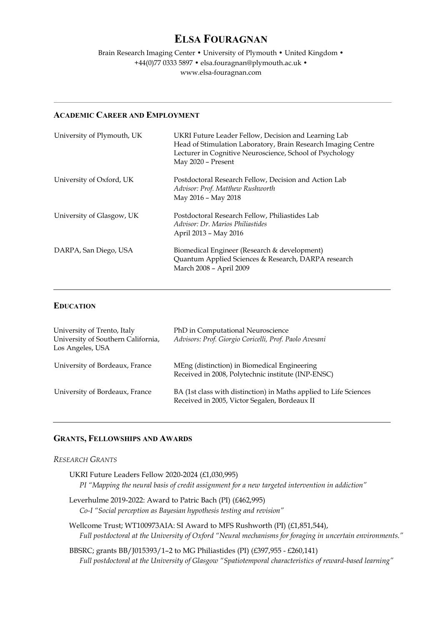# **ELSA FOURAGNAN**

Brain Research Imaging Center • University of Plymouth • United Kingdom • +44(0)77 0333 5897 • elsa.fouragnan@plymouth.ac.uk • www.elsa-fouragnan.com

# **ACADEMIC CAREER AND EMPLOYMENT**

| University of Plymouth, UK | UKRI Future Leader Fellow, Decision and Learning Lab<br>Head of Stimulation Laboratory, Brain Research Imaging Centre<br>Lecturer in Cognitive Neuroscience, School of Psychology<br>May 2020 - Present |
|----------------------------|---------------------------------------------------------------------------------------------------------------------------------------------------------------------------------------------------------|
| University of Oxford, UK   | Postdoctoral Research Fellow, Decision and Action Lab<br>Advisor: Prof. Matthew Rushworth<br>May 2016 - May 2018                                                                                        |
| University of Glasgow, UK  | Postdoctoral Research Fellow, Philiastides Lab<br>Advisor: Dr. Marios Philiastides<br>April 2013 - May 2016                                                                                             |
| DARPA, San Diego, USA      | Biomedical Engineer (Research & development)<br>Quantum Applied Sciences & Research, DARPA research<br>March 2008 - April 2009                                                                          |

# **EDUCATION**

| University of Trento, Italy<br>University of Southern California,<br>Los Angeles, USA | PhD in Computational Neuroscience<br>Advisors: Prof. Giorgio Coricelli, Prof. Paolo Avesani                        |
|---------------------------------------------------------------------------------------|--------------------------------------------------------------------------------------------------------------------|
| University of Bordeaux, France                                                        | MEng (distinction) in Biomedical Engineering<br>Received in 2008, Polytechnic institute (INP-ENSC)                 |
| University of Bordeaux, France                                                        | BA (1st class with distinction) in Maths applied to Life Sciences<br>Received in 2005, Victor Segalen, Bordeaux II |

# **GRANTS, FELLOWSHIPS AND AWARDS**

# *RESEARCH GRANTS*

| UKRI Future Leaders Fellow 2020-2024 (£1,030,995)<br>PI "Mapping the neural basis of credit assignment for a new targeted intervention in addiction"                                   |
|----------------------------------------------------------------------------------------------------------------------------------------------------------------------------------------|
| Leverhulme 2019-2022: Award to Patric Bach (PI) (£462,995)<br>Co-I "Social perception as Bayesian hypothesis testing and revision"                                                     |
| Wellcome Trust; WT100973AIA: SI Award to MFS Rushworth (PI) (£1,851,544),<br>Full postdoctoral at the University of Oxford "Neural mechanisms for foraging in uncertain environments." |
| BBSRC; grants BB/J015393/1-2 to MG Philiastides (PI) (£397,955 - £260,141)<br>Full postdoctoral at the University of Glasgow "Spatiotemporal characteristics of reward-based learning" |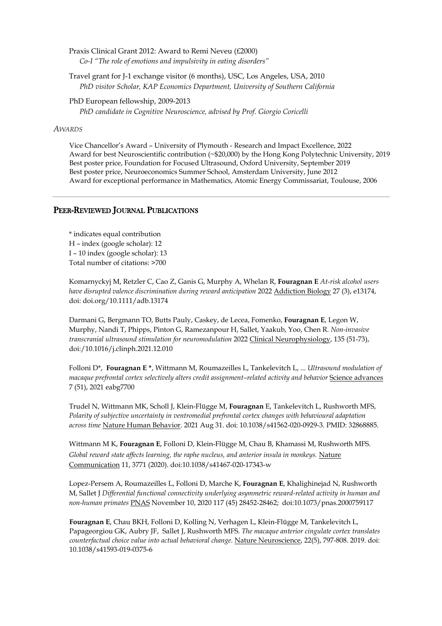Praxis Clinical Grant 2012: Award to Remi Neveu (£2000) *Co-I "The role of emotions and impulsivity in eating disorders"* 

Travel grant for J-1 exchange visitor (6 months), USC, Los Angeles, USA, 2010 *PhD visitor Scholar, KAP Economics Department, University of Southern California* 

PhD European fellowship, 2009-2013 *PhD candidate in Cognitive Neuroscience, advised by Prof. Giorgio Coricelli*

#### *AWARDS*

Vice Chancellor's Award – University of Plymouth - Research and Impact Excellence, 2022 Award for best Neuroscientific contribution (~\$20,000) by the Hong Kong Polytechnic University, 2019 Best poster price, Foundation for Focused Ultrasound, Oxford University, September 2019 Best poster price, Neuroeconomics Summer School, Amsterdam University, June 2012 Award for exceptional performance in Mathematics, Atomic Energy Commissariat, Toulouse, 2006

#### PEER-REVIEWED JOURNAL PUBLICATIONS

\* indicates equal contribution H – index (google scholar): 12 I – 10 index (google scholar): 13 Total number of citations: >700

Komarnyckyj M, Retzler C, Cao Z, Ganis G, Murphy A, Whelan R, **Fouragnan E** *At‐[risk alcohol users](https://scholar.google.com/citations?view_op=view_citation&hl=en&user=hMIuFhYAAAAJ&sortby=pubdate&citation_for_view=hMIuFhYAAAAJ:4TOpqqG69KYC)  [have disrupted valence discrimination during reward anticipation](https://scholar.google.com/citations?view_op=view_citation&hl=en&user=hMIuFhYAAAAJ&sortby=pubdate&citation_for_view=hMIuFhYAAAAJ:4TOpqqG69KYC)* 2022 Addiction Biology 27 (3), e13174, doi[: doi.org/10.1111/adb.13174](https://doi.org/10.1111/adb.13174)

Darmani G, Bergmann TO, Butts Pauly, Caskey, de Lecea, Fomenko, **Fouragnan E**, Legon W, Murphy, Nandi T, Phipps, Pinton G, Ramezanpour H, Sallet, Yaakub, Yoo, Chen R. *[Non-invasive](https://www.sciencedirect.com/science/article/pii/S1388245721008920)  [transcranial ultrasound stimulation for neuromodulation](https://www.sciencedirect.com/science/article/pii/S1388245721008920)* 2022 Clinical Neurophysiology, 135 (51-73), doi:/10.1016/j.clinph.2021.12.010

Folloni D\*, **Fouragnan E \***, Wittmann M, Roumazeilles L, Tankelevitch L, ... *[Ultrasound modulation of](https://scholar.google.com/citations?view_op=view_citation&hl=en&user=hMIuFhYAAAAJ&sortby=pubdate&citation_for_view=hMIuFhYAAAAJ:YOwf2qJgpHMC)  macaque prefrontal cortex selectively alters credit assignment-related activity and behavior* Science advances 7 (51), 2021 eabg7700

Trudel N, Wittmann MK, Scholl J, Klein-Flügge M, **Fouragnan** E, Tankelevitch L, Rushworth MFS, *Polarity of subjective uncertainty in ventromedial prefrontal cortex changes with behavioural adaptation across time* Nature Human Behavior. 2021 Aug 31. doi: 10.1038/s41562-020-0929-3. PMID: 32868885.

Wittmann M K, **Fouragnan E**, Folloni D, Klein-Flügge M, Chau B, Khamassi M, Rushworth MFS. *Global reward state affects learning, the raphe nucleus, and anterior insula in monkeys.* Nature Communication 11, 3771 (2020). doi:10.1038/s41467-020-17343-w

Lopez-Persem A, Roumazeilles L, Folloni D, Marche K, **Fouragnan E**, Khalighinejad N, Rushworth M, Sallet J *Differential functional connectivity underlying asymmetric reward-related activity in human and non-human primates* PNAS November 10, 2020 117 (45) 28452-28462; doi:10.1073/pnas.2000759117

**Fouragnan E**, Chau BKH, Folloni D, Kolling N, Verhagen L, Klein-Flügge M, Tankelevitch L, Papageorgiou GK, Aubry JF, Sallet J, Rushworth MFS. *The macaque anterior cingulate cortex translates counterfactual choice value into actual behavioral change.* Nature Neuroscience, 22(5), 797-808. 2019. doi: 10.1038/s41593-019-0375-6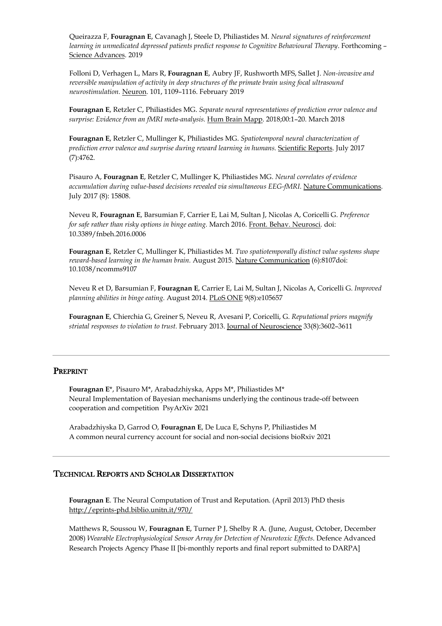Queirazza F, **Fouragnan E**[, Cavanagh J, Steele D, Philiastides M.](https://www.biorxiv.org/content/early/2017/11/24/224410) *Neural signatures of reinforcement [learning in unmedicated depressed patients predict response to Cognitive Behavioural Therapy](https://www.biorxiv.org/content/early/2017/11/24/224410)*. Forthcoming – Science Advances. 2019

Folloni D, Verhagen L, Mars R, **Fouragnan E**, Aubry JF, Rushworth MFS, Sallet J. *Non-invasive and reversible manipulation of activity in deep structures of the primate brain using focal ultrasound neurostimulation.* Neuron. 101, 1109–1116. February 2019

**Fouragnan E**, Retzler C, Philiastides MG. *Separate neural representations of prediction error valence and surprise: Evidence from an fMRI meta-analysis.* Hum Brain Mapp. 2018;00:1–20. March 2018

**Fouragnan E**, Retzler C, Mullinger K, Philiastides MG. *Spatiotemporal neural characterization of prediction error valence and surprise during reward learning in humans.* Scientific Reports. July 2017 (7):4762.

Pisauro A, **Fouragnan E**, Retzler C, Mullinger K, Philiastides MG. *Neural correlates of evidence accumulation during value-based decisions revealed via simultaneous EEG-fMRI*. Nature Communications. July 2017 (8): 15808.

Neveu R, **Fouragnan E**, Barsumian F, Carrier E, Lai M, Sultan J, Nicolas A, Coricelli G. *Preference for safe rather than risky options in binge eating.* March 2016. Front. Behav. Neurosci. doi: 10.3389/fnbeh.2016.0006

**Fouragnan E**, Retzler C, Mullinger K, Philiastides M. *Two spatiotemporally distinct value systems shape reward-based learning in the human brain.* August 2015. Nature Communication (6):8107doi: 10.1038/ncomms9107

Neveu R et D, Barsumian F, **Fouragnan E**, Carrier E, Lai M, Sultan J, Nicolas A, Coricelli G. *Improved planning abilities in binge eating.* August 2014. PLoS ONE 9(8):e105657

**Fouragnan E**, Chierchia G, Greiner S, Neveu R, Avesani P, Coricelli, G. *Reputational priors magnify striatal responses to violation to trust.* February 2013. Journal of Neuroscience 33(8):3602–3611

### PREPRINT

**Fouragnan E**\*, Pisauro M\*, Arabadzhiyska, Apps M\*, Philiastides M\* [Neural Implementation of Bayesian mechanisms underlying the continous trade-off between](https://scholar.google.com/citations?view_op=view_citation&hl=en&user=hMIuFhYAAAAJ&sortby=pubdate&citation_for_view=hMIuFhYAAAAJ:Zph67rFs4hoC)  [cooperation and competition](https://scholar.google.com/citations?view_op=view_citation&hl=en&user=hMIuFhYAAAAJ&sortby=pubdate&citation_for_view=hMIuFhYAAAAJ:Zph67rFs4hoC) PsyArXiv 2021

Arabadzhiyska D, Garrod O, **Fouragnan E**, De Luca E, Schyns P, Philiastides M [A common neural currency account for social and non-social decisions](https://scholar.google.com/citations?view_op=view_citation&hl=en&user=hMIuFhYAAAAJ&sortby=pubdate&citation_for_view=hMIuFhYAAAAJ:ULOm3_A8WrAC) bioRxiv 2021

### TECHNICAL REPORTS AND SCHOLAR DISSERTATION

**Fouragnan E**. The Neural Computation of Trust and Reputation. (April 2013) PhD thesis http://eprints-phd.biblio.unitn.it/970/

Matthews R, Soussou W, **Fouragnan E**, Turner P J, Shelby R A. (June, August, October, December 2008) *Wearable Electrophysiological Sensor Array for Detection of Neurotoxic Effects*. Defence Advanced Research Projects Agency Phase II [bi-monthly reports and final report submitted to DARPA]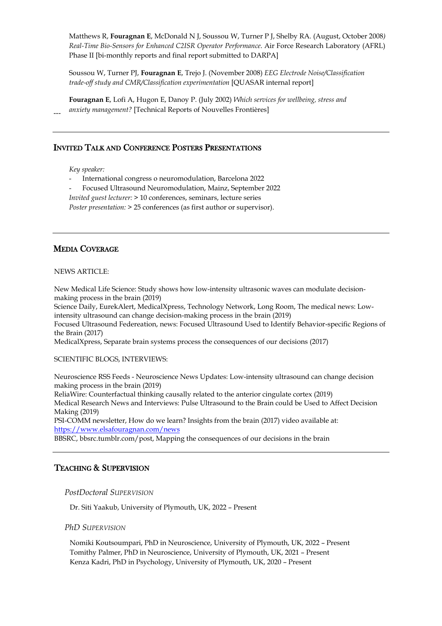Matthews R, **Fouragnan E**, McDonald N J, Soussou W, Turner P J, Shelby RA. (August, October 2008*) Real-Time Bio-Sensors for Enhanced C2ISR Operator Performance*. Air Force Research Laboratory (AFRL) Phase II [bi-monthly reports and final report submitted to DARPA]

Soussou W, Turner PJ, **Fouragnan E**, Trejo J. (November 2008) *EEG Electrode Noise/Classification trade-off study and CMR/Classification experimentation* [QUASAR internal report]

**Fouragnan E**, Lofi A, Hugon E, Danoy P. (July 2002) *Which services for wellbeing, stress and anxiety management?* [Technical Reports of Nouvelles Frontières]

# INVITED TALK AND CONFERENCE POSTERS PRESENTATIONS

*Key speaker:* 

- International congress o neuromodulation, Barcelona 2022

- Focused Ultrasound Neuromodulation, Mainz, September 2022

*Invited guest lecturer:* > 10 conferences, seminars, lecture series *Poster presentation:* > 25 conferences (as first author or supervisor).

### MEDIA COVERAGE

#### NEWS ARTICLE:

New Medical Life Science: Study shows how low-intensity ultrasonic waves can modulate decisionmaking process in the brain (2019)

Science Daily, EurekAlert, MedicalXpress, Technology Network, Long Room, The medical news: Lowintensity ultrasound can change decision-making process in the brain (2019)

Focused Ultrasound Federeation, news: Focused Ultrasound Used to Identify Behavior-specific Regions of the Brain (2017)

MedicalXpress, Separate brain systems process the consequences of our decisions (2017)

#### SCIENTIFIC BLOGS, INTERVIEWS:

Neuroscience RSS Feeds - Neuroscience News Updates: Low-intensity ultrasound can change decision making process in the brain (2019)

ReliaWire: Counterfactual thinking causally related to the anterior cingulate cortex (2019) Medical Research News and Interviews: Pulse Ultrasound to the Brain could be Used to Affect Decision Making (2019)

PSI-COMM newsletter, How do we learn? Insights from the brain (2017) video available at: <https://www.elsafouragnan.com/news>

BBSRC, bbsrc.tumblr.com/post, Mapping the consequences of our decisions in the brain

### TEACHING & SUPERVISION

#### *PostDoctoral SUPERVISION*

Dr. Siti Yaakub, University of Plymouth, UK, 2022 – Present

#### *PhD SUPERVISION*

Nomiki Koutsoumpari, PhD in Neuroscience, University of Plymouth, UK, 2022 – Present Tomithy Palmer, PhD in Neuroscience, University of Plymouth, UK, 2021 – Present Kenza Kadri, PhD in Psychology, University of Plymouth, UK, 2020 – Present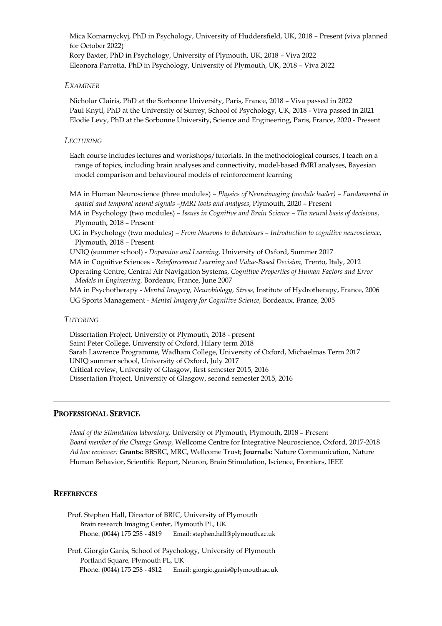Mica [Komarnyckyj,](https://app.slack.com/team/UV6SAQ9MG) PhD in Psychology, University of Huddersfield, UK, 2018 – Present (viva planned for October 2022) Rory Baxter, PhD in Psychology, University of Plymouth, UK, 2018 – Viva 2022 Eleonora Parrotta, PhD in Psychology, University of Plymouth, UK, 2018 – Viva 2022

#### *EXAMINER*

Nicholar Clairis, PhD at the Sorbonne University, Paris, France, 2018 – Viva passed in 2022 Paul Knytl, PhD at the University of Surrey, School of Psychology, UK, 2018 - Viva passed in 2021 Elodie Levy, PhD at the Sorbonne University, Science and Engineering, Paris, France, 2020 - Present

#### *LECTURING*

- Each course includes lectures and workshops/tutorials. In the methodological courses, I teach on a range of topics, including brain analyses and connectivity, model-based fMRI analyses, Bayesian model comparison and behavioural models of reinforcement learning
- MA in Human Neuroscience (three modules) *– Physics of Neuroimaging (module leader) – Fundamental in spatial and temporal neural signals –fMRI tools and analyses*, Plymouth, 2020 – Present
- MA in Psychology (two modules) *– Issues in Cognitive and Brain Science – The neural basis of decisions*, Plymouth, 2018 – Present
- UG in Psychology (two modules) *– From Neurons to Behaviours – Introduction to cognitive neuroscience*, Plymouth, 2018 – Present
- UNIQ (summer school) *Dopamine and Learning,* University of Oxford, Summer 2017
- MA in Cognitive Sciences *Reinforcement Learning and Value-Based Decision,* Trento, Italy, 2012
- Operating Centre, Central Air Navigation Systems, *Cognitive Properties of Human Factors and Error Models in Engineering,* Bordeaux, France, June 2007

MA in Psychotherapy - *Mental Imagery, Neurobiology, Stress,* Institute of Hydrotherapy, France, 2006 UG Sports Management - *Mental Imagery for Cognitive Science*, Bordeaux, France, 2005

#### *TUTORING*

Dissertation Project, University of Plymouth, 2018 - present Saint Peter College, University of Oxford, Hilary term 2018 Sarah Lawrence Programme, Wadham College, University of Oxford, Michaelmas Term 2017 UNIQ summer school, University of Oxford, July 2017 Critical review, University of Glasgow, first semester 2015, 2016 Dissertation Project, University of Glasgow, second semester 2015, 2016

### PROFESSIONAL SERVICE

*Head of the Stimulation laboratory,* University of Plymouth, Plymouth, 2018 – Present *Board member of the Change Group,* Wellcome Centre for Integrative Neuroscience, Oxford, 2017-2018 *Ad hoc reviewer:* **Grants:** BBSRC, MRC, Wellcome Trust; **Journals:** Nature Communication, Nature Human Behavior, Scientific Report, Neuron, Brain Stimulation, Iscience, Frontiers, IEEE

### **REFERENCES**

 $\overline{a}$ 

| Prof. Stephen Hall, Director of BRIC, University of Plymouth |                                    |
|--------------------------------------------------------------|------------------------------------|
| Brain research Imaging Center, Plymouth PL, UK               |                                    |
| Phone: (0044) 175 258 - 4819                                 | Email: stephen.hall@plymouth.ac.uk |

Prof. Giorgio Ganis, School of Psychology, University of Plymouth Portland Square, Plymouth PL, UK Phone: (0044) 175 258 - 4812 Email: giorgio.ganis@plymouth.ac.uk